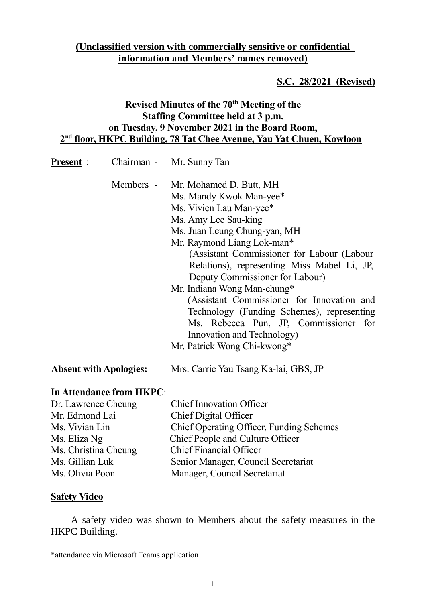# **(Unclassified version with commercially sensitive or confidential information and Members' names removed)**

#### **S.C. 28/2021 (Revised)**

## **Revised Minutes of the 70th Meeting of the Staffing Committee held at 3 p.m. on Tuesday, 9 November 2021 in the Board Room, 2 nd floor, HKPC Building, 78 Tat Chee Avenue, Yau Yat Chuen, Kowloon**

| <u><b>Present</b></u> :                      |                          | Chairman - Mr. Sunny Tan                                                                                                                                                                                                                                                                                                                                                                                                                                                                                                                       |
|----------------------------------------------|--------------------------|------------------------------------------------------------------------------------------------------------------------------------------------------------------------------------------------------------------------------------------------------------------------------------------------------------------------------------------------------------------------------------------------------------------------------------------------------------------------------------------------------------------------------------------------|
|                                              |                          | Members - Mr. Mohamed D. Butt, MH<br>Ms. Mandy Kwok Man-yee*<br>Ms. Vivien Lau Man-yee*<br>Ms. Amy Lee Sau-king<br>Ms. Juan Leung Chung-yan, MH<br>Mr. Raymond Liang Lok-man*<br>(Assistant Commissioner for Labour (Labour<br>Relations), representing Miss Mabel Li, JP,<br>Deputy Commissioner for Labour)<br>Mr. Indiana Wong Man-chung*<br>(Assistant Commissioner for Innovation and<br>Technology (Funding Schemes), representing<br>Ms. Rebecca Pun, JP, Commissioner for<br>Innovation and Technology)<br>Mr. Patrick Wong Chi-kwong* |
| <b>Absent with Apologies:</b>                |                          | Mrs. Carrie Yau Tsang Ka-lai, GBS, JP                                                                                                                                                                                                                                                                                                                                                                                                                                                                                                          |
| Dr. Lawrence Cheung<br>Mr. Edmond Lai        | In Attendance from HKPC: | <b>Chief Innovation Officer</b><br>Chief Digital Officer                                                                                                                                                                                                                                                                                                                                                                                                                                                                                       |
| $M_{\odot}$ $V_{\rm{rel}}$ on $L_{\rm{rel}}$ |                          | $C_{\rm loc} f$ Original Officer $E_{\rm tot}$ directed process                                                                                                                                                                                                                                                                                                                                                                                                                                                                                |

| Mr. Edmond Lai       | Chief Digital Officer                    |
|----------------------|------------------------------------------|
| Ms. Vivian Lin       | Chief Operating Officer, Funding Schemes |
| Ms. Eliza Ng         | Chief People and Culture Officer         |
| Ms. Christina Cheung | <b>Chief Financial Officer</b>           |
| Ms. Gillian Luk      | Senior Manager, Council Secretariat      |
| Ms. Olivia Poon      | Manager, Council Secretariat             |
|                      |                                          |

#### **Safety Video**

A safety video was shown to Members about the safety measures in the HKPC Building.

\*attendance via Microsoft Teams application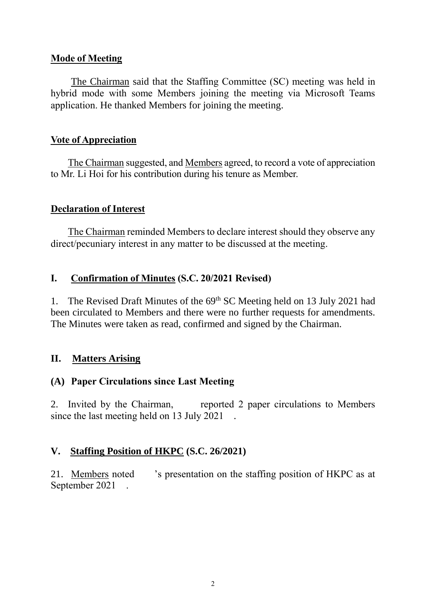#### **Mode of Meeting**

The Chairman said that the Staffing Committee (SC) meeting was held in hybrid mode with some Members joining the meeting via Microsoft Teams application. He thanked Members for joining the meeting.

#### **Vote of Appreciation**

The Chairman suggested, and Members agreed, to record a vote of appreciation to Mr. Li Hoi for his contribution during his tenure as Member.

### **Declaration of Interest**

The Chairman reminded Members to declare interest should they observe any direct/pecuniary interest in any matter to be discussed at the meeting.

### **I. Confirmation of Minutes (S.C. 20/2021 Revised)**

1. The Revised Draft Minutes of the 69<sup>th</sup> SC Meeting held on 13 July 2021 had been circulated to Members and there were no further requests for amendments. The Minutes were taken as read, confirmed and signed by the Chairman.

## **II. Matters Arising**

## **(A) Paper Circulations since Last Meeting**

2. Invited by the Chairman, reported 2 paper circulations to Members since the last meeting held on 13 July 2021.

## **V. Staffing Position of HKPC (S.C. 26/2021)**

21. Members noted 's presentation on the staffing position of HKPC as at September 2021 .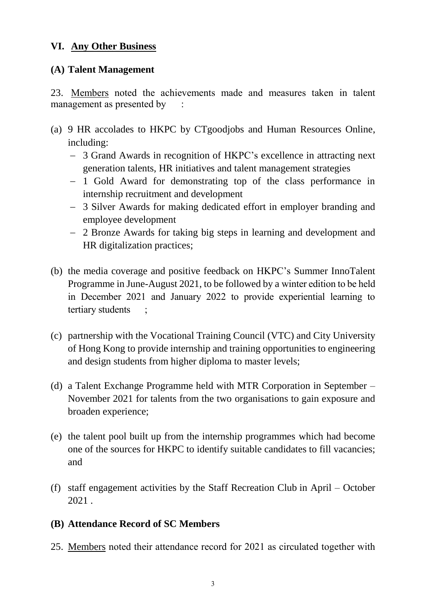#### **VI. Any Other Business**

### **(A) Talent Management**

23. Members noted the achievements made and measures taken in talent management as presented by

- (a) 9 HR accolades to HKPC by CTgoodjobs and Human Resources Online, including:
	- 3 Grand Awards in recognition of HKPC's excellence in attracting next generation talents, HR initiatives and talent management strategies
	- 1 Gold Award for demonstrating top of the class performance in internship recruitment and development
	- 3 Silver Awards for making dedicated effort in employer branding and employee development
	- 2 Bronze Awards for taking big steps in learning and development and HR digitalization practices;
- (b) the media coverage and positive feedback on HKPC's Summer InnoTalent Programme in June-August 2021, to be followed by a winter edition to be held in December 2021 and January 2022 to provide experiential learning to tertiary students ;
- (c) partnership with the Vocational Training Council (VTC) and City University of Hong Kong to provide internship and training opportunities to engineering and design students from higher diploma to master levels;
- (d) a Talent Exchange Programme held with MTR Corporation in September November 2021 for talents from the two organisations to gain exposure and broaden experience;
- (e) the talent pool built up from the internship programmes which had become one of the sources for HKPC to identify suitable candidates to fill vacancies; and
- (f) staff engagement activities by the Staff Recreation Club in April October 2021 .

## **(B) Attendance Record of SC Members**

25. Members noted their attendance record for 2021 as circulated together with